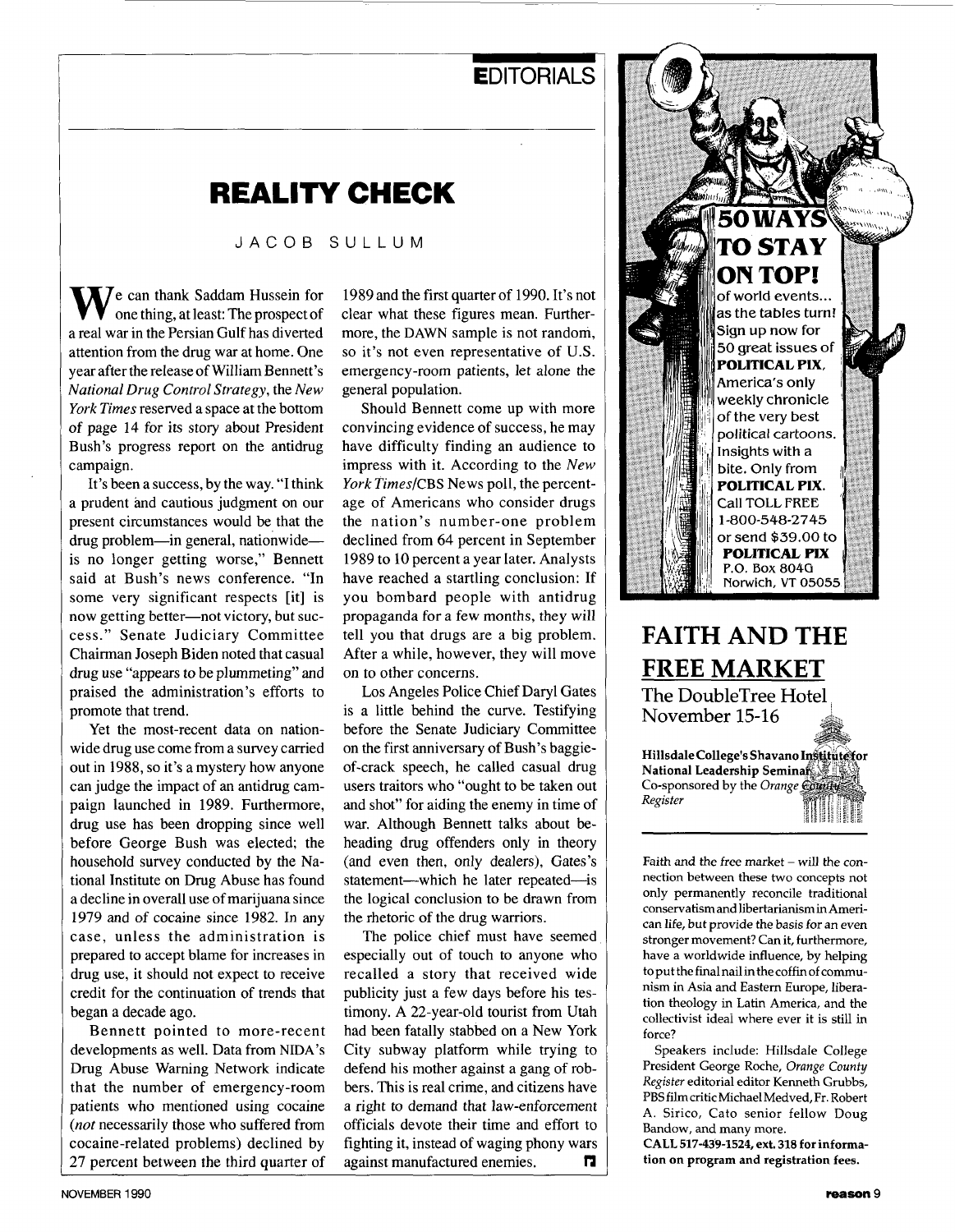### **EDITORIALS**

## **REALITY CHECK**

JACOB SULLUM

**V**e can thank Saddam Hussein for one thing, at least: The prospect of a real war in the Persian Gulf has diverted attention from the drug war at home. One year after the release of William Bennett's *National Drug Control Strategy,* the *New York Times* reserved a space at the bottom of page 14 for its story about President Bush's progress report on the antidrug campaign.

It's been a success, by the way. "I think a prudent and cautious judgment on our present circumstances would be that the drug problem—in general, nationwide is no longer getting worse," Bennett said at Bush's news conference. "In some very significant respects [it] is now getting better-not victory, but success.'' Senate Judiciary Committee Chairman Joseph Biden noted that casual drug use "appears to be plummeting" and praised the administration's efforts to promote that trend.

Yet the most-recent data on nationwide drug use come from a survey carried out in 1988, so it's a mystery how anyone can judge the impact of an antidrug campaign launched in 1989. Furthermore, drug use has been dropping since well before George Bush was elected; the household survey conducted by the National Institute on Drug Abuse has found a decline in overall use of marijuana since 1979 and of cocaine since 1982. In any case, unless the administration is prepared to accept blame for increases in drug use, it should not expect to receive credit for the continuation of trends that began a decade ago.

Bennett pointed to more-recent developments as well. Data from **NIDA's**  Drug Abuse Warning Network indicate that the number of emergency-room patients who mentioned using cocaine *(not* necessarily those who suffered from cocaine-related problems) declined by 27 percent between the third quarter of

1989 and the first quarter of 1990. It's not clear what these figures mean. Furthermore, the **DAWN** sample is not random, so it's not even representative of U.S. emergency-room patients, let alone the general population.

Should Bennett come up with more convincing evidence of success, he may have difficulty finding an audience to impress with it. According to the *New York TimeslCBS* News poll, the percentage of Americans who consider drugs the nation's number-one problem declined from 64 percent in September 1989 to 10 percent a year later. Analysts have reached a startling conclusion: If you bombard people with antidrug propaganda for a few months, they will tell you that drugs are a big problem. After a while, however, they will move on to other concerns.

Los Angeles Police Chief Daryl Gates is a little behind the curve. Testifying before the Senate Judiciary Committee on the first anniversary of Bush's baggieof-crack speech, he called casual drug users traitors who "ought to be taken out and shot" for aiding the enemy in time of war. Although Bennett talks about beheading drug offenders only in theory (and even then, only dealers), Gates's statement--which he later repeated-is the logical conclusion to be drawn from the rhetoric of the drug warriors.

The police chief must have seemed especially out of touch to anyone who recalled a story that received wide publicity just a few days before his testimony. A 22-year-old tourist from Utah had been fatally stabbed on a New York City subway platform while trying to defend his mother against a gang of robbers. This is real crime, and citizens have a right to demand that law-enforcement officials devote their time and effort to fighting it, instead of waging phony wars against manufactured enemies. **n** 



## **FAITH AND THE FREE MARKET**  The DoubleTree Hotel November 15-16

**Hillsdale College's Shavano National Leadership Seminar Material** Co-sponsored by the *Orange* Country *Regtster* 

Faith and the free market  $-$  will the connection between these two concepts not only permanently reconcile traditional conservatism and libertarianism in American life, but provide the basis for an even stronger movement? Can it, furthermore, have a worldwide influence, by helping to put the final nail in the coffin of communism in Asia and Eastern Europe, liberation theology in Latin America, and the collectivist ideal where ever it is still in force?

Speakers include: Hillsdale College President George Roche, *Orunge County Register* editorial editor Kenneth Grubbs, PBSfilmcritic MichaelMedved, Fr. Robert A. Sirico, Cat0 senior fellow Doug Bandow, and many more.

**CALL 517-439-1524, ext. 318 for information on program and registration fees.**